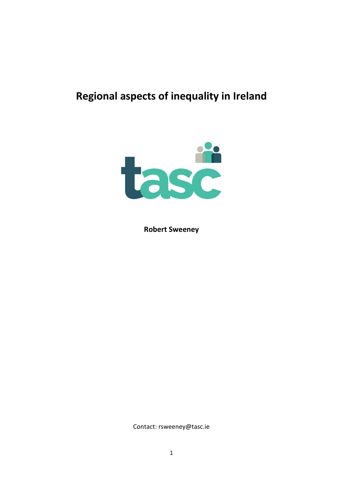# **Regional aspects of inequality in Ireland**



**Robert Sweeney**

Contact: rsweeney@tasc.ie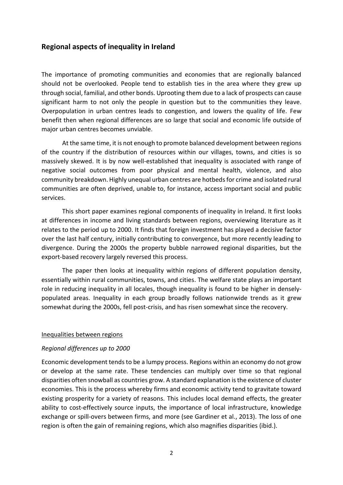# **Regional aspects of inequality in Ireland**

The importance of promoting communities and economies that are regionally balanced should not be overlooked. People tend to establish ties in the area where they grew up through social, familial, and other bonds. Uprooting them due to a lack of prospects can cause significant harm to not only the people in question but to the communities they leave. Overpopulation in urban centres leads to congestion, and lowers the quality of life. Few benefit then when regional differences are so large that social and economic life outside of major urban centres becomes unviable.

At the same time, it is not enough to promote balanced development between regions of the country if the distribution of resources within our villages, towns, and cities is so massively skewed. It is by now well-established that inequality is associated with range of negative social outcomes from poor physical and mental health, violence, and also community breakdown. Highly unequal urban centres are hotbeds for crime and isolated rural communities are often deprived, unable to, for instance, access important social and public services.

This short paper examines regional components of inequality in Ireland. It first looks at differences in income and living standards between regions, overviewing literature as it relates to the period up to 2000. It finds that foreign investment has played a decisive factor over the last half century, initially contributing to convergence, but more recently leading to divergence. During the 2000s the property bubble narrowed regional disparities, but the export-based recovery largely reversed this process.

The paper then looks at inequality within regions of different population density, essentially within rural communities, towns, and cities. The welfare state plays an important role in reducing inequality in all locales, though inequality is found to be higher in denselypopulated areas. Inequality in each group broadly follows nationwide trends as it grew somewhat during the 2000s, fell post-crisis, and has risen somewhat since the recovery.

#### Inequalities between regions

#### *Regional differences up to 2000*

Economic development tends to be a lumpy process. Regions within an economy do not grow or develop at the same rate. These tendencies can multiply over time so that regional disparities often snowball as countries grow. A standard explanation is the existence of cluster economies. This is the process whereby firms and economic activity tend to gravitate toward existing prosperity for a variety of reasons. This includes local demand effects, the greater ability to cost-effectively source inputs, the importance of local infrastructure, knowledge exchange or spill-overs between firms, and more (see Gardiner et al., 2013). The loss of one region is often the gain of remaining regions, which also magnifies disparities (ibid.).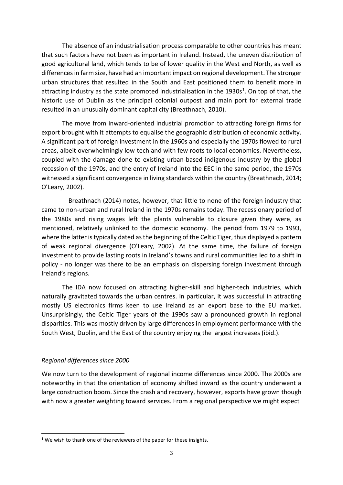The absence of an industrialisation process comparable to other countries has meant that such factors have not been as important in Ireland. Instead, the uneven distribution of good agricultural land, which tends to be of lower quality in the West and North, as well as differences in farm size, have had an important impact on regional development. The stronger urban structures that resulted in the South and East positioned them to benefit more in attracting industry as the state promoted industrialisation in the 1930s<sup>1</sup>. On top of that, the historic use of Dublin as the principal colonial outpost and main port for external trade resulted in an unusually dominant capital city (Breathnach, 2010).

The move from inward-oriented industrial promotion to attracting foreign firms for export brought with it attempts to equalise the geographic distribution of economic activity. A significant part of foreign investment in the 1960s and especially the 1970s flowed to rural areas, albeit overwhelmingly low-tech and with few roots to local economies. Nevertheless, coupled with the damage done to existing urban-based indigenous industry by the global recession of the 1970s, and the entry of Ireland into the EEC in the same period, the 1970s witnessed a significant convergence in living standards within the country (Breathnach, 2014; O'Leary, 2002).

Breathnach (2014) notes, however, that little to none of the foreign industry that came to non-urban and rural Ireland in the 1970s remains today. The recessionary period of the 1980s and rising wages left the plants vulnerable to closure given they were, as mentioned, relatively unlinked to the domestic economy. The period from 1979 to 1993, where the latter is typically dated as the beginning of the Celtic Tiger, thus displayed a pattern of weak regional divergence (O'Leary, 2002). At the same time, the failure of foreign investment to provide lasting roots in Ireland's towns and rural communities led to a shift in policy - no longer was there to be an emphasis on dispersing foreign investment through Ireland's regions.

The IDA now focused on attracting higher-skill and higher-tech industries, which naturally gravitated towards the urban centres. In particular, it was successful in attracting mostly US electronics firms keen to use Ireland as an export base to the EU market. Unsurprisingly, the Celtic Tiger years of the 1990s saw a pronounced growth in regional disparities. This was mostly driven by large differences in employment performance with the South West, Dublin, and the East of the country enjoying the largest increases (ibid.).

## *Regional differences since 2000*

**.** 

We now turn to the development of regional income differences since 2000. The 2000s are noteworthy in that the orientation of economy shifted inward as the country underwent a large construction boom. Since the crash and recovery, however, exports have grown though with now a greater weighting toward services. From a regional perspective we might expect

 $1$  We wish to thank one of the reviewers of the paper for these insights.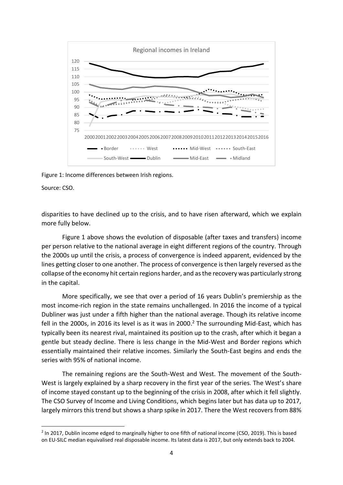

Figure 1: Income differences between Irish regions.

Source: CSO.

**.** 

disparities to have declined up to the crisis, and to have risen afterward, which we explain more fully below.

Figure 1 above shows the evolution of disposable (after taxes and transfers) income per person relative to the national average in eight different regions of the country. Through the 2000s up until the crisis, a process of convergence is indeed apparent, evidenced by the lines getting closer to one another. The process of convergence is then largely reversed as the collapse of the economy hit certain regions harder, and as the recovery was particularly strong in the capital.

More specifically, we see that over a period of 16 years Dublin's premiership as the most income-rich region in the state remains unchallenged. In 2016 the income of a typical Dubliner was just under a fifth higher than the national average. Though its relative income fell in the 2000s, in 2016 its level is as it was in 2000.<sup>2</sup> The surrounding Mid-East, which has typically been its nearest rival, maintained its position up to the crash, after which it began a gentle but steady decline. There is less change in the Mid-West and Border regions which essentially maintained their relative incomes. Similarly the South-East begins and ends the series with 95% of national income.

The remaining regions are the South-West and West. The movement of the South-West is largely explained by a sharp recovery in the first year of the series. The West's share of income stayed constant up to the beginning of the crisis in 2008, after which it fell slightly. The CSO Survey of Income and Living Conditions, which begins later but has data up to 2017, largely mirrors this trend but shows a sharp spike in 2017. There the West recovers from 88%

<sup>&</sup>lt;sup>2</sup> In 2017, Dublin income edged to marginally higher to one fifth of national income (CSO, 2019). This is based on EU-SILC median equivalised real disposable income. Its latest data is 2017, but only extends back to 2004.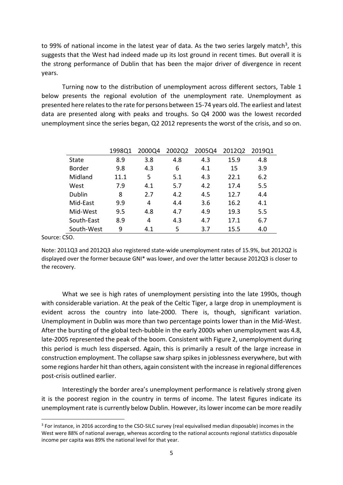to 99% of national income in the latest year of data. As the two series largely match<sup>3</sup>, this suggests that the West had indeed made up its lost ground in recent times. But overall it is the strong performance of Dublin that has been the major driver of divergence in recent years.

Turning now to the distribution of unemployment across different sectors, Table 1 below presents the regional evolution of the unemployment rate. Unemployment as presented here relates to the rate for persons between 15-74 years old. The earliest and latest data are presented along with peaks and troughs. So Q4 2000 was the lowest recorded unemployment since the series began, Q2 2012 represents the worst of the crisis, and so on.

|               | 1998Q1 | 2000Q4 | 2002Q2 | 2005Q4 | 2012Q2 | 2019Q1 |
|---------------|--------|--------|--------|--------|--------|--------|
| <b>State</b>  | 8.9    | 3.8    | 4.8    | 4.3    | 15.9   | 4.8    |
| <b>Border</b> | 9.8    | 4.3    | 6      | 4.1    | 15     | 3.9    |
| Midland       | 11.1   | 5      | 5.1    | 4.3    | 22.1   | 6.2    |
| West          | 7.9    | 4.1    | 5.7    | 4.2    | 17.4   | 5.5    |
| Dublin        | 8      | 2.7    | 4.2    | 4.5    | 12.7   | 4.4    |
| Mid-East      | 9.9    | 4      | 4.4    | 3.6    | 16.2   | 4.1    |
| Mid-West      | 9.5    | 4.8    | 4.7    | 4.9    | 19.3   | 5.5    |
| South-East    | 8.9    | 4      | 4.3    | 4.7    | 17.1   | 6.7    |
| South-West    | 9      | 4.1    | 5      | 3.7    | 15.5   | 4.0    |

Source: CSO.

**.** 

Note: 2011Q3 and 2012Q3 also registered state-wide unemployment rates of 15.9%, but 2012Q2 is displayed over the former because GNI\* was lower, and over the latter because 2012Q3 is closer to the recovery.

What we see is high rates of unemployment persisting into the late 1990s, though with considerable variation. At the peak of the Celtic Tiger, a large drop in unemployment is evident across the country into late-2000. There is, though, significant variation. Unemployment in Dublin was more than two percentage points lower than in the Mid-West. After the bursting of the global tech-bubble in the early 2000s when unemployment was 4.8, late-2005 represented the peak of the boom. Consistent with Figure 2, unemployment during this period is much less dispersed. Again, this is primarily a result of the large increase in construction employment. The collapse saw sharp spikes in joblessness everywhere, but with some regions harder hit than others, again consistent with the increase in regional differences post-crisis outlined earlier.

Interestingly the border area's unemployment performance is relatively strong given it is the poorest region in the country in terms of income. The latest figures indicate its unemployment rate is currently below Dublin. However, its lower income can be more readily

<sup>&</sup>lt;sup>3</sup> For instance, in 2016 according to the CSO-SILC survey (real equivalised median disposable) incomes in the West were 88% of national average, whereas according to the national accounts regional statistics disposable income per capita was 89% the national level for that year.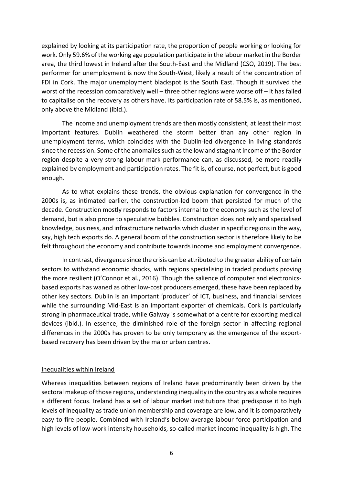explained by looking at its participation rate, the proportion of people working or looking for work. Only 59.6% of the working age population participate in the labour market in the Border area, the third lowest in Ireland after the South-East and the Midland (CSO, 2019). The best performer for unemployment is now the South-West, likely a result of the concentration of FDI in Cork. The major unemployment blackspot is the South East. Though it survived the worst of the recession comparatively well – three other regions were worse off – it has failed to capitalise on the recovery as others have. Its participation rate of 58.5% is, as mentioned, only above the Midland (ibid.).

The income and unemployment trends are then mostly consistent, at least their most important features. Dublin weathered the storm better than any other region in unemployment terms, which coincides with the Dublin-led divergence in living standards since the recession. Some of the anomalies such as the low and stagnant income of the Border region despite a very strong labour mark performance can, as discussed, be more readily explained by employment and participation rates. The fit is, of course, not perfect, but is good enough.

As to what explains these trends, the obvious explanation for convergence in the 2000s is, as intimated earlier, the construction-led boom that persisted for much of the decade. Construction mostly responds to factors internal to the economy such as the level of demand, but is also prone to speculative bubbles. Construction does not rely and specialised knowledge, business, and infrastructure networks which cluster in specific regions in the way, say, high tech exports do. A general boom of the construction sector is therefore likely to be felt throughout the economy and contribute towards income and employment convergence.

In contrast, divergence since the crisis can be attributed to the greater ability of certain sectors to withstand economic shocks, with regions specialising in traded products proving the more resilient (O'Connor et al., 2016). Though the salience of computer and electronicsbased exports has waned as other low-cost producers emerged, these have been replaced by other key sectors. Dublin is an important 'producer' of ICT, business, and financial services while the surrounding Mid-East is an important exporter of chemicals. Cork is particularly strong in pharmaceutical trade, while Galway is somewhat of a centre for exporting medical devices (ibid.). In essence, the diminished role of the foreign sector in affecting regional differences in the 2000s has proven to be only temporary as the emergence of the exportbased recovery has been driven by the major urban centres.

#### Inequalities within Ireland

Whereas inequalities between regions of Ireland have predominantly been driven by the sectoral makeup of those regions, understanding inequality in the country as a whole requires a different focus. Ireland has a set of labour market institutions that predispose it to high levels of inequality as trade union membership and coverage are low, and it is comparatively easy to fire people. Combined with Ireland's below average labour force participation and high levels of low-work intensity households, so-called market income inequality is high. The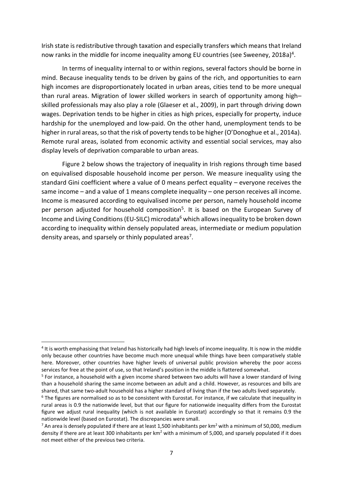Irish state is redistributive through taxation and especially transfers which means that Ireland now ranks in the middle for income inequality among EU countries (see Sweeney, 2018a)<sup>4</sup>.

In terms of inequality internal to or within regions, several factors should be borne in mind. Because inequality tends to be driven by gains of the rich, and opportunities to earn high incomes are disproportionately located in urban areas, cities tend to be more unequal than rural areas. Migration of lower skilled workers in search of opportunity among high– skilled professionals may also play a role (Glaeser et al., 2009), in part through driving down wages. Deprivation tends to be higher in cities as high prices, especially for property, induce hardship for the unemployed and low-paid. On the other hand, unemployment tends to be higher in rural areas, so that the risk of poverty tends to be higher (O'Donoghue et al., 2014a). Remote rural areas, isolated from economic activity and essential social services, may also display levels of deprivation comparable to urban areas.

Figure 2 below shows the trajectory of inequality in Irish regions through time based on equivalised disposable household income per person. We measure inequality using the standard Gini coefficient where a value of 0 means perfect equality – everyone receives the same income – and a value of 1 means complete inequality – one person receives all income. Income is measured according to equivalised income per person, namely household income per person adjusted for household composition<sup>5</sup>. It is based on the European Survey of Income and Living Conditions (EU-SILC) microdata<sup>6</sup> which allows inequality to be broken down according to inequality within densely populated areas, intermediate or medium population density areas, and sparsely or thinly populated areas<sup>7</sup>.

 $\overline{a}$ 

<sup>&</sup>lt;sup>4</sup> It is worth emphasising that Ireland has historically had high levels of income inequality. It is now in the middle only because other countries have become much more unequal while things have been comparatively stable here. Moreover, other countries have higher levels of universal public provision whereby the poor access services for free at the point of use, so that Ireland's position in the middle is flattered somewhat.

<sup>&</sup>lt;sup>5</sup> For instance, a household with a given income shared between two adults will have a lower standard of living than a household sharing the same income between an adult and a child. However, as resources and bills are shared, that same two-adult household has a higher standard of living than if the two adults lived separately.

 $6$  The figures are normalised so as to be consistent with Eurostat. For instance, if we calculate that inequality in rural areas is 0.9 the nationwide level, but that our figure for nationwide inequality differs from the Eurostat figure we adjust rural inequality (which is not available in Eurostat) accordingly so that it remains 0.9 the nationwide level (based on Eurostat). The discrepancies were small.

 $^7$  An area is densely populated if there are at least 1,500 inhabitants per km<sup>2</sup> with a minimum of 50,000, medium density if there are at least 300 inhabitants per km<sup>2</sup> with a minimum of 5,000, and sparsely populated if it does not meet either of the previous two criteria.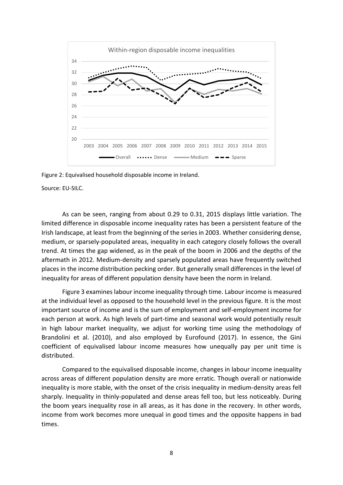

Figure 2: Equivalised household disposable income in Ireland.

Source: EU-SILC.

As can be seen, ranging from about 0.29 to 0.31, 2015 displays little variation. The limited difference in disposable income inequality rates has been a persistent feature of the Irish landscape, at least from the beginning of the series in 2003. Whether considering dense, medium, or sparsely-populated areas, inequality in each category closely follows the overall trend. At times the gap widened, as in the peak of the boom in 2006 and the depths of the aftermath in 2012. Medium-density and sparsely populated areas have frequently switched places in the income distribution pecking order. But generally small differences in the level of inequality for areas of different population density have been the norm in Ireland.

Figure 3 examines labour income inequality through time. Labour income is measured at the individual level as opposed to the household level in the previous figure. It is the most important source of income and is the sum of employment and self-employment income for each person at work. As high levels of part-time and seasonal work would potentially result in high labour market inequality, we adjust for working time using the methodology of Brandolini et al. (2010), and also employed by Eurofound (2017). In essence, the Gini coefficient of equivalised labour income measures how unequally pay per unit time is distributed.

Compared to the equivalised disposable income, changes in labour income inequality across areas of different population density are more erratic. Though overall or nationwide inequality is more stable, with the onset of the crisis inequality in medium-density areas fell sharply. Inequality in thinly-populated and dense areas fell too, but less noticeably. During the boom years inequality rose in all areas, as it has done in the recovery. In other words, income from work becomes more unequal in good times and the opposite happens in bad times.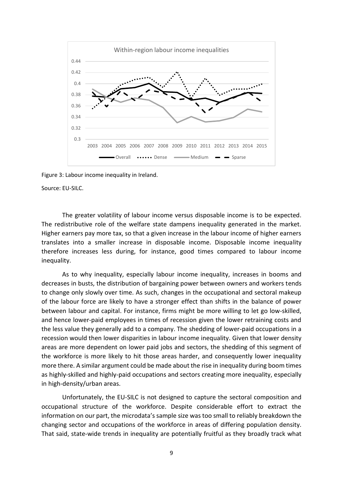

Figure 3: Labour income inequality in Ireland.

Source: EU-SILC.

The greater volatility of labour income versus disposable income is to be expected. The redistributive role of the welfare state dampens inequality generated in the market. Higher earners pay more tax, so that a given increase in the labour income of higher earners translates into a smaller increase in disposable income. Disposable income inequality therefore increases less during, for instance, good times compared to labour income inequality.

As to why inequality, especially labour income inequality, increases in booms and decreases in busts, the distribution of bargaining power between owners and workers tends to change only slowly over time. As such, changes in the occupational and sectoral makeup of the labour force are likely to have a stronger effect than shifts in the balance of power between labour and capital. For instance, firms might be more willing to let go low-skilled, and hence lower-paid employees in times of recession given the lower retraining costs and the less value they generally add to a company. The shedding of lower-paid occupations in a recession would then lower disparities in labour income inequality. Given that lower density areas are more dependent on lower paid jobs and sectors, the shedding of this segment of the workforce is more likely to hit those areas harder, and consequently lower inequality more there. A similar argument could be made about the rise in inequality during boom times as highly-skilled and highly-paid occupations and sectors creating more inequality, especially in high-density/urban areas.

Unfortunately, the EU-SILC is not designed to capture the sectoral composition and occupational structure of the workforce. Despite considerable effort to extract the information on our part, the microdata's sample size was too small to reliably breakdown the changing sector and occupations of the workforce in areas of differing population density. That said, state-wide trends in inequality are potentially fruitful as they broadly track what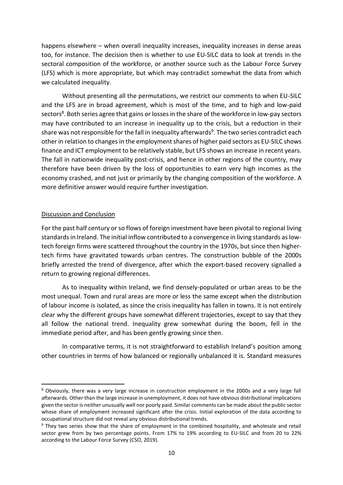happens elsewhere – when overall inequality increases, inequality increases in dense areas too, for instance. The decision then is whether to use EU-SILC data to look at trends in the sectoral composition of the workforce, or another source such as the Labour Force Survey (LFS) which is more appropriate, but which may contradict somewhat the data from which we calculated inequality.

Without presenting all the permutations, we restrict our comments to when EU-SILC and the LFS are in broad agreement, which is most of the time, and to high and low-paid sectors<sup>8</sup>. Both series agree that gains or losses in the share of the workforce in low-pay sectors may have contributed to an increase in inequality up to the crisis, but a reduction in their share was not responsible for the fall in inequality afterwards<sup>9</sup>. The two series contradict each other in relation to changes in the employment shares of higher paid sectors as EU-SILC shows finance and ICT employment to be relatively stable, but LFS shows an increase in recent years. The fall in nationwide inequality post-crisis, and hence in other regions of the country, may therefore have been driven by the loss of opportunities to earn very high incomes as the economy crashed, and not just or primarily by the changing composition of the workforce. A more definitive answer would require further investigation.

#### Discussion and Conclusion

**.** 

For the past half century or so flows of foreign investment have been pivotal to regional living standards in Ireland. The initial inflow contributed to a convergence in living standards as lowtech foreign firms were scattered throughout the country in the 1970s, but since then highertech firms have gravitated towards urban centres. The construction bubble of the 2000s briefly arrested the trend of divergence, after which the export-based recovery signalled a return to growing regional differences.

As to inequality within Ireland, we find densely-populated or urban areas to be the most unequal. Town and rural areas are more or less the same except when the distribution of labour income is isolated, as since the crisis inequality has fallen in towns. It is not entirely clear why the different groups have somewhat different trajectories, except to say that they all follow the national trend. Inequality grew somewhat during the boom, fell in the immediate period after, and has been gently growing since then.

In comparative terms, it is not straightforward to establish Ireland's position among other countries in terms of how balanced or regionally unbalanced it is. Standard measures

<sup>8</sup> Obviously, there was a very large increase in construction employment in the 2000s and a very large fall afterwards. Other than the large increase in unemployment, it does not have obvious distributional implications given the sector is neither unusually well nor poorly paid. Similar comments can be made about the public sector whose share of employment increased significant after the crisis. Initial exploration of the data according to occupational structure did not reveal any obvious distributional trends.

<sup>9</sup> They two series show that the share of employment in the combined hospitality, and wholesale and retail sector grew from by two percentage points. From 17% to 19% according to EU-SILC and from 20 to 22% according to the Labour Force Survey (CSO, 2019).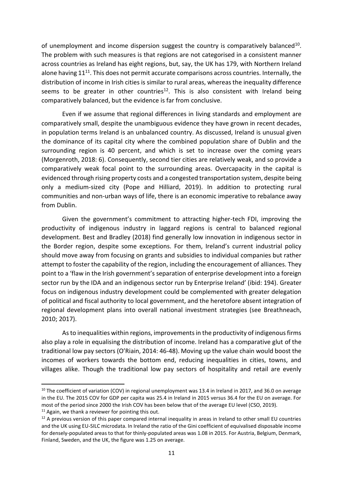of unemployment and income dispersion suggest the country is comparatively balanced<sup>10</sup>. The problem with such measures is that regions are not categorised in a consistent manner across countries as Ireland has eight regions, but, say, the UK has 179, with Northern Ireland alone having  $11^{11}$ . This does not permit accurate comparisons across countries. Internally, the distribution of income in Irish cities is similar to rural areas, whereas the inequality difference seems to be greater in other countries<sup>12</sup>. This is also consistent with Ireland being comparatively balanced, but the evidence is far from conclusive.

Even if we assume that regional differences in living standards and employment are comparatively small, despite the unambiguous evidence they have grown in recent decades, in population terms Ireland is an unbalanced country. As discussed, Ireland is unusual given the dominance of its capital city where the combined population share of Dublin and the surrounding region is 40 percent, and which is set to increase over the coming years (Morgenroth, 2018: 6). Consequently, second tier cities are relatively weak, and so provide a comparatively weak focal point to the surrounding areas. Overcapacity in the capital is evidenced through rising property costs and a congested transportation system, despite being only a medium-sized city (Pope and Hilliard, 2019). In addition to protecting rural communities and non-urban ways of life, there is an economic imperative to rebalance away from Dublin.

Given the government's commitment to attracting higher-tech FDI, improving the productivity of indigenous industry in laggard regions is central to balanced regional development. Best and Bradley (2018) find generally low innovation in indigenous sector in the Border region, despite some exceptions. For them, Ireland's current industrial policy should move away from focusing on grants and subsidies to individual companies but rather attempt to foster the capability of the region, including the encouragement of alliances. They point to a 'flaw in the Irish government's separation of enterprise development into a foreign sector run by the IDA and an indigenous sector run by Enterprise Ireland' (ibid: 194). Greater focus on indigenous industry development could be complemented with greater delegation of political and fiscal authority to local government, and the heretofore absent integration of regional development plans into overall national investment strategies (see Breathneach, 2010; 2017).

As to inequalities within regions, improvements in the productivity of indigenous firms also play a role in equalising the distribution of income. Ireland has a comparative glut of the traditional low pay sectors (O'Riain, 2014: 46-48). Moving up the value chain would boost the incomes of workers towards the bottom end, reducing inequalities in cities, towns, and villages alike. Though the traditional low pay sectors of hospitality and retail are evenly

**.** 

 $10$  The coefficient of variation (COV) in regional unemployment was 13.4 in Ireland in 2017, and 36.0 on average in the EU. The 2015 COV for GDP per capita was 25.4 in Ireland in 2015 versus 36.4 for the EU on average. For most of the period since 2000 the Irish COV has been below that of the average EU level (CSO, 2019).  $11$  Again, we thank a reviewer for pointing this out.

<sup>&</sup>lt;sup>12</sup> A previous version of this paper compared internal inequality in areas in Ireland to other small EU countries and the UK using EU-SILC microdata. In Ireland the ratio of the Gini coefficient of equivalised disposable income for densely-populated areas to that for thinly-populated areas was 1.08 in 2015. For Austria, Belgium, Denmark, Finland, Sweden, and the UK, the figure was 1.25 on average.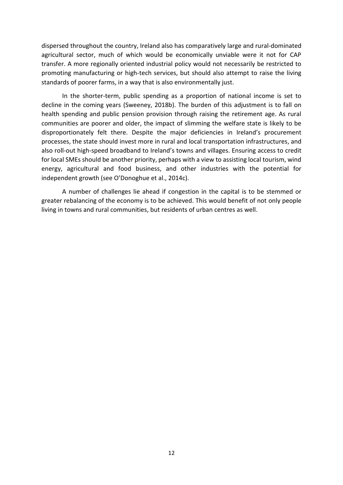dispersed throughout the country, Ireland also has comparatively large and rural-dominated agricultural sector, much of which would be economically unviable were it not for CAP transfer. A more regionally oriented industrial policy would not necessarily be restricted to promoting manufacturing or high-tech services, but should also attempt to raise the living standards of poorer farms, in a way that is also environmentally just.

In the shorter-term, public spending as a proportion of national income is set to decline in the coming years (Sweeney, 2018b). The burden of this adjustment is to fall on health spending and public pension provision through raising the retirement age. As rural communities are poorer and older, the impact of slimming the welfare state is likely to be disproportionately felt there. Despite the major deficiencies in Ireland's procurement processes, the state should invest more in rural and local transportation infrastructures, and also roll-out high-speed broadband to Ireland's towns and villages. Ensuring access to credit for local SMEs should be another priority, perhaps with a view to assisting local tourism, wind energy, agricultural and food business, and other industries with the potential for independent growth (see O'Donoghue et al., 2014c).

A number of challenges lie ahead if congestion in the capital is to be stemmed or greater rebalancing of the economy is to be achieved. This would benefit of not only people living in towns and rural communities, but residents of urban centres as well.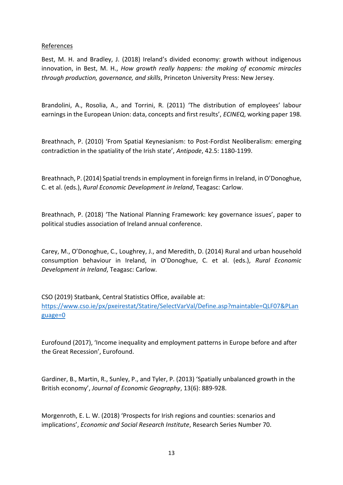## References

Best, M. H. and Bradley, J. (2018) Ireland's divided economy: growth without indigenous innovation, in Best, M. H., *How growth really happens: the making of economic miracles through production, governance, and skills*, Princeton University Press: New Jersey.

Brandolini, A., Rosolia, A., and Torrini, R. (2011) 'The distribution of employees' labour earnings in the European Union: data, concepts and first results', *ECINEQ*, working paper 198.

Breathnach, P. (2010) 'From Spatial Keynesianism: to Post-Fordist Neoliberalism: emerging contradiction in the spatiality of the Irish state', *Antipode*, 42.5: 1180-1199.

Breathnach, P. (2014) Spatial trends in employment in foreign firms in Ireland, in O'Donoghue, C. et al. (eds.), *Rural Economic Development in Ireland*, Teagasc: Carlow.

Breathnach, P. (2018) 'The National Planning Framework: key governance issues', paper to political studies association of Ireland annual conference.

Carey, M., O'Donoghue, C., Loughrey, J., and Meredith, D. (2014) Rural and urban household consumption behaviour in Ireland, in O'Donoghue, C. et al. (eds.), *Rural Economic Development in Ireland*, Teagasc: Carlow.

CSO (2019) Statbank, Central Statistics Office, available at:

[https://www.cso.ie/px/pxeirestat/Statire/SelectVarVal/Define.asp?maintable=QLF07&PLan](https://www.cso.ie/px/pxeirestat/Statire/SelectVarVal/Define.asp?maintable=QLF07&PLanguage=0) [guage=0](https://www.cso.ie/px/pxeirestat/Statire/SelectVarVal/Define.asp?maintable=QLF07&PLanguage=0)

Eurofound (2017), 'Income inequality and employment patterns in Europe before and after the Great Recession', Eurofound.

Gardiner, B., Martin, R., Sunley, P., and Tyler, P. (2013) 'Spatially unbalanced growth in the British economy', *Journal of Economic Geography*, 13(6): 889-928.

Morgenroth, E. L. W. (2018) 'Prospects for Irish regions and counties: scenarios and implications', *Economic and Social Research Institute*, Research Series Number 70.